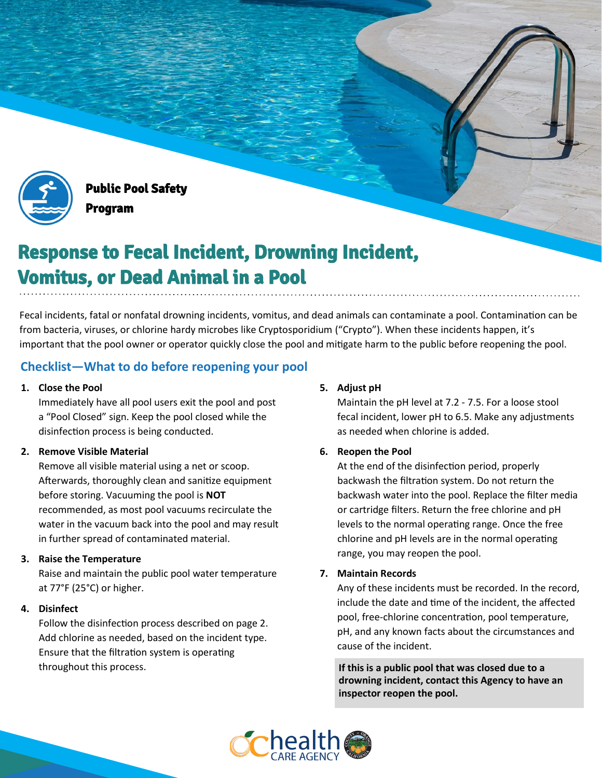

Public Pool Safety Program

# Response to Fecal Incident, Drowning Incident, Vomitus, or Dead Animal in a Pool

Fecal incidents, fatal or nonfatal drowning incidents, vomitus, and dead animals can contaminate a pool. Contamination can be from bacteria, viruses, or chlorine hardy microbes like Cryptosporidium ("Crypto"). When these incidents happen, it's important that the pool owner or operator quickly close the pool and mitigate harm to the public before reopening the pool.

# **Checklist—What to do before reopening your pool**

### **1. Close the Pool**

Immediately have all pool users exit the pool and post a "Pool Closed" sign. Keep the pool closed while the disinfection process is being conducted.

## **2. Remove Visible Material**

Remove all visible material using a net or scoop. Afterwards, thoroughly clean and sanitize equipment before storing. Vacuuming the pool is **NOT** recommended, as most pool vacuums recirculate the water in the vacuum back into the pool and may result in further spread of contaminated material.

#### **3. Raise the Temperature**

Raise and maintain the public pool water temperature at 77°F (25°C) or higher.

#### **4. Disinfect**

Follow the disinfection process described on page 2. Add chlorine as needed, based on the incident type. Ensure that the filtration system is operating throughout this process.

# **5. Adjust pH**

Maintain the pH level at 7.2 - 7.5. For a loose stool fecal incident, lower pH to 6.5. Make any adjustments as needed when chlorine is added.

## **6. Reopen the Pool**

At the end of the disinfection period, properly backwash the filtration system. Do not return the backwash water into the pool. Replace the filter media or cartridge filters. Return the free chlorine and pH levels to the normal operating range. Once the free chlorine and pH levels are in the normal operating range, you may reopen the pool.

#### **7. Maintain Records**

Any of these incidents must be recorded. In the record, include the date and time of the incident, the affected pool, free-chlorine concentration, pool temperature, pH, and any known facts about the circumstances and cause of the incident.

**If this is a public pool that was closed due to a drowning incident, contact this Agency to have an inspector reopen the pool.**